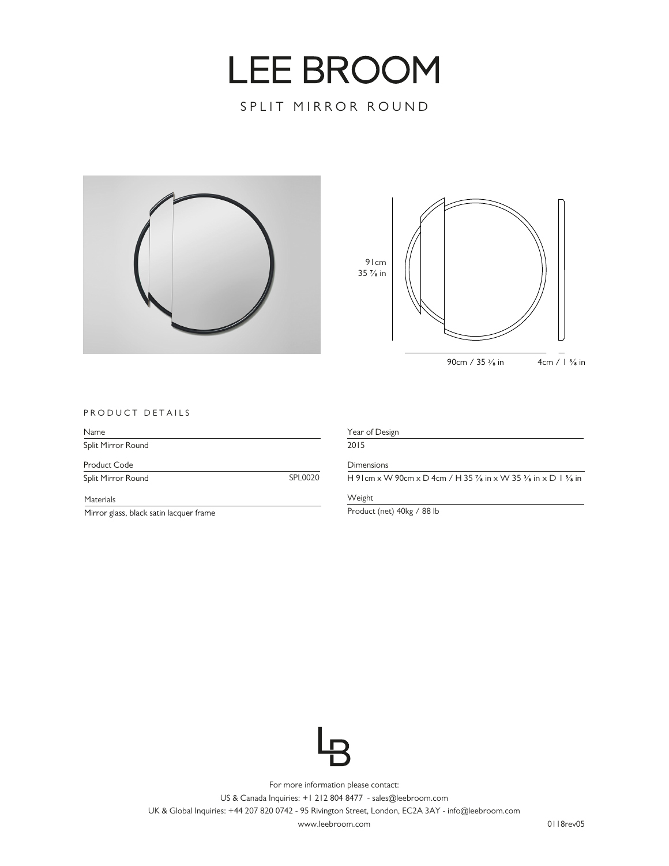## **LEE BROOM**

SPLIT MIRROR ROUND





## PRODUCT DETAILS

| Name               |         |
|--------------------|---------|
| Split Mirror Round |         |
| Product Code       |         |
| Split Mirror Round | SPL0020 |
| <b>Materials</b>   |         |

Mirror glass, black satin lacquer frame

Weight

Product (net) 40kg / 88 lb



For more information please contact: US & Canada Inquiries: +1 212 804 8477 - sales@leebroom.com UK & Global Inquiries: +44 207 820 0742 - 95 Rivington Street, London, EC2A 3AY - info@leebroom.com

www.leebroom.com